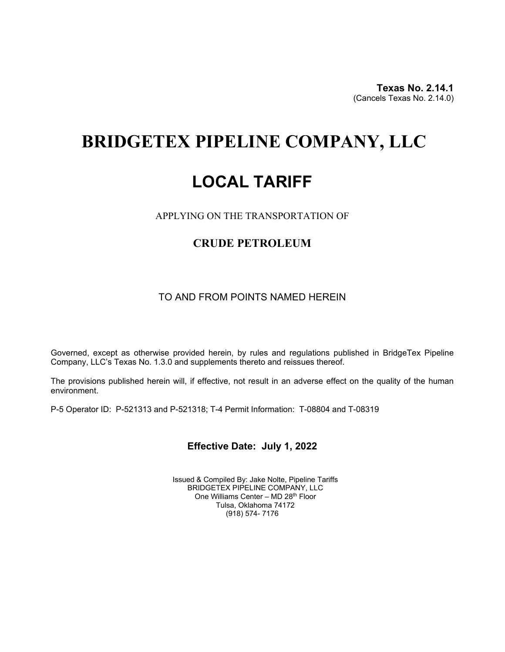**Texas No. 2.14.1**(Cancels Texas No. 2.14.0)

# **BRIDGETEX PIPELINE COMPANY, LLC**

# **LOCAL TARIFF**

APPLYING ON THE TRANSPORTATION OF

## **CRUDE PETROLEUM**

### TO AND FROM POINTS NAMED HEREIN

Governed, except as otherwise provided herein, by rules and regulations published in BridgeTex Pipeline Company, LLC's Texas No. 1.3.0 and supplements thereto and reissues thereof.

The provisions published herein will, if effective, not result in an adverse effect on the quality of the human environment.

P-5 Operator ID: P-521313 and P-521318; T-4 Permit Information: T-08804 and T-08319

## **Effective Date: July 1, 2022**

Issued & Compiled By: Jake Nolte, Pipeline Tariffs BRIDGETEX PIPELINE COMPANY, LLC One Williams Center - MD 28<sup>th</sup> Floor Tulsa, Oklahoma 74172 (918) 574- 7176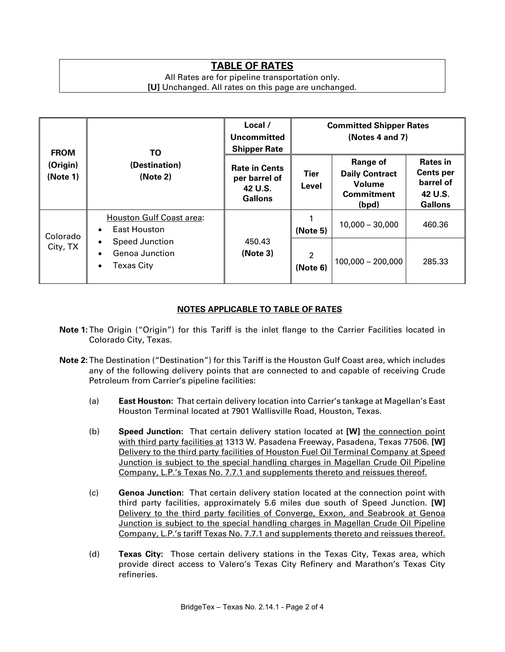# **TABLE OF RATES**

#### All Rates are for pipeline transportation only. **[U]** Unchanged. All rates on this page are unchanged.

| <b>FROM</b><br>(Origin)<br>(Note 1) | ΤO<br>(Destination)<br>(Note 2)                                                              | Local /<br>Uncommitted<br><b>Shipper Rate</b>                      | <b>Committed Shipper Rates</b><br>(Notes 4 and 7) |                                                                           |                                                                               |
|-------------------------------------|----------------------------------------------------------------------------------------------|--------------------------------------------------------------------|---------------------------------------------------|---------------------------------------------------------------------------|-------------------------------------------------------------------------------|
|                                     |                                                                                              | <b>Rate in Cents</b><br>per barrel of<br>42 U.S.<br><b>Gallons</b> | Tier<br>Level                                     | Range of<br><b>Daily Contract</b><br>Volume<br><b>Commitment</b><br>(bpd) | <b>Rates in</b><br><b>Cents per</b><br>barrel of<br>42 U.S.<br><b>Gallons</b> |
| Colorado<br>City, TX                | <b>Houston Gulf Coast area:</b><br>East Houston<br>$\bullet$                                 | 450.43<br>(Note 3)                                                 | (Note 5)                                          | $10,000 - 30,000$                                                         | 460.36                                                                        |
|                                     | Speed Junction<br>$\bullet$<br>Genoa Junction<br>$\bullet$<br><b>Texas City</b><br>$\bullet$ |                                                                    | $\overline{2}$<br>(Note 6)                        | $100,000 - 200,000$                                                       | 285.33                                                                        |

### **NOTES APPLICABLE TO TABLE OF RATES**

- **Note 1:**The Origin ("Origin") for this Tariff is the inlet flange to the Carrier Facilities located in Colorado City, Texas.
- **Note 2:**The Destination ("Destination") for this Tariff is the Houston Gulf Coast area, which includes any of the following delivery points that are connected to and capable of receiving Crude Petroleum from Carrier's pipeline facilities:
	- (a) **East Houston:** That certain delivery location into Carrier's tankage at Magellan's East Houston Terminal located at 7901 Wallisville Road, Houston, Texas.
	- (b) **Speed Junction:** That certain delivery station located at **[W]** the connection point with third party facilities at 1313 W. Pasadena Freeway, Pasadena, Texas 77506. **[W]** Delivery to the third party facilities of Houston Fuel Oil Terminal Company at Speed Junction is subject to the special handling charges in Magellan Crude Oil Pipeline Company, L.P.'s Texas No. 7.7.1 and supplements thereto and reissues thereof.
	- (c) **Genoa Junction:** That certain delivery station located at the connection point with third party facilities, approximately 5.6 miles due south of Speed Junction. **[W]** Delivery to the third party facilities of Converge, Exxon, and Seabrook at Genoa Junction is subject to the special handling charges in Magellan Crude Oil Pipeline Company, L.P.'s tariff Texas No. 7.7.1 and supplements thereto and reissues thereof.
	- (d) **Texas City:** Those certain delivery stations in the Texas City, Texas area, which provide direct access to Valero's Texas City Refinery and Marathon's Texas City refineries.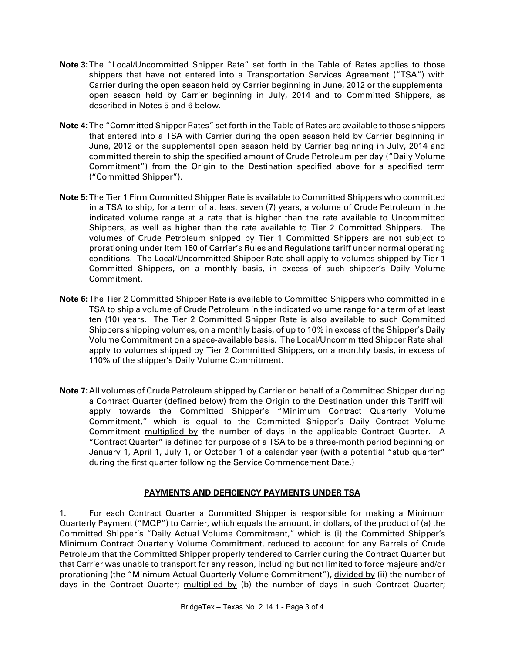- **Note 3:**The "Local/Uncommitted Shipper Rate" set forth in the Table of Rates applies to those shippers that have not entered into a Transportation Services Agreement ("TSA") with Carrier during the open season held by Carrier beginning in June, 2012 or the supplemental open season held by Carrier beginning in July, 2014 and to Committed Shippers, as described in Notes 5 and 6 below.
- **Note 4:**The "Committed Shipper Rates" set forth in the Table of Rates are available to those shippers that entered into a TSA with Carrier during the open season held by Carrier beginning in June, 2012 or the supplemental open season held by Carrier beginning in July, 2014 and committed therein to ship the specified amount of Crude Petroleum per day ("Daily Volume Commitment") from the Origin to the Destination specified above for a specified term ("Committed Shipper").
- **Note 5:**The Tier 1 Firm Committed Shipper Rate is available to Committed Shippers who committed in a TSA to ship, for a term of at least seven (7) years, a volume of Crude Petroleum in the indicated volume range at a rate that is higher than the rate available to Uncommitted Shippers, as well as higher than the rate available to Tier 2 Committed Shippers. The volumes of Crude Petroleum shipped by Tier 1 Committed Shippers are not subject to prorationing under Item 150 of Carrier's Rules and Regulations tariff under normal operating conditions. The Local/Uncommitted Shipper Rate shall apply to volumes shipped by Tier 1 Committed Shippers, on a monthly basis, in excess of such shipper's Daily Volume Commitment.
- **Note 6:**The Tier 2 Committed Shipper Rate is available to Committed Shippers who committed in a TSA to ship a volume of Crude Petroleum in the indicated volume range for a term of at least ten (10) years. The Tier 2 Committed Shipper Rate is also available to such Committed Shippers shipping volumes, on a monthly basis, of up to 10% in excess of the Shipper's Daily Volume Commitment on a space-available basis. The Local/Uncommitted Shipper Rate shall apply to volumes shipped by Tier 2 Committed Shippers, on a monthly basis, in excess of 110% of the shipper's Daily Volume Commitment.
- **Note 7:** All volumes of Crude Petroleum shipped by Carrier on behalf of a Committed Shipper during a Contract Quarter (defined below) from the Origin to the Destination under this Tariff will apply towards the Committed Shipper's "Minimum Contract Quarterly Volume Commitment," which is equal to the Committed Shipper's Daily Contract Volume Commitment multiplied by the number of days in the applicable Contract Quarter. A "Contract Quarter" is defined for purpose of a TSA to be a three-month period beginning on January 1, April 1, July 1, or October 1 of a calendar year (with a potential "stub quarter" during the first quarter following the Service Commencement Date.)

### **PAYMENTS AND DEFICIENCY PAYMENTS UNDER TSA**

1. For each Contract Quarter a Committed Shipper is responsible for making a Minimum Quarterly Payment ("MQP") to Carrier, which equals the amount, in dollars, of the product of (a) the Committed Shipper's "Daily Actual Volume Commitment," which is (i) the Committed Shipper's Minimum Contract Quarterly Volume Commitment, reduced to account for any Barrels of Crude Petroleum that the Committed Shipper properly tendered to Carrier during the Contract Quarter but that Carrier was unable to transport for any reason, including but not limited to force majeure and/or prorationing (the "Minimum Actual Quarterly Volume Commitment"), divided by (ii) the number of days in the Contract Quarter; multiplied by (b) the number of days in such Contract Quarter;